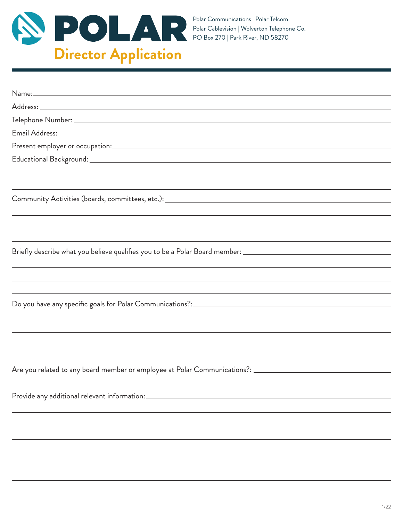

| ,我们也不会有什么。""我们的人,我们也不会有什么?""我们的人,我们也不会有什么?""我们的人,我们也不会有什么?""我们的人,我们也不会有什么?""我们的人                                       |
|------------------------------------------------------------------------------------------------------------------------|
|                                                                                                                        |
| Briefly describe what you believe qualifies you to be a Polar Board member: __________________________________         |
|                                                                                                                        |
| ,我们也不能在这里的时候,我们也不能在这里的时候,我们也不能会在这里的时候,我们也不能会在这里的时候,我们也不能会在这里的时候,我们也不能会在这里的时候,我们也                                       |
| <u> 1989 - Andrea Santana, amerikana amerikana amerikana amerikana amerikana amerikana amerikana amerikana amerika</u> |
|                                                                                                                        |
|                                                                                                                        |
|                                                                                                                        |
|                                                                                                                        |
|                                                                                                                        |
| Are you related to any board member or employee at Polar Communications?: ___________________________________          |
|                                                                                                                        |
| Provide any additional relevant information: ___________________________________                                       |
|                                                                                                                        |
|                                                                                                                        |
|                                                                                                                        |
|                                                                                                                        |
|                                                                                                                        |
|                                                                                                                        |